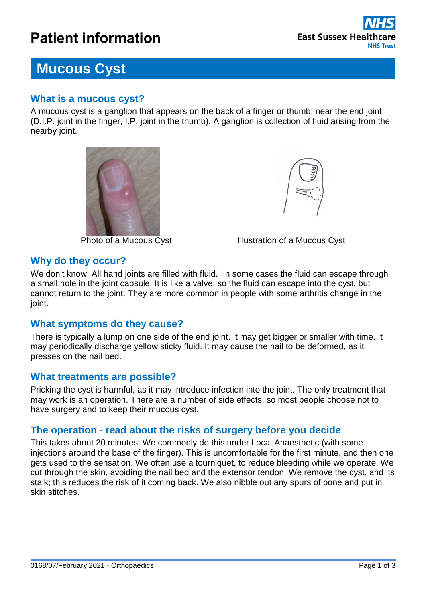# **Patient information**



## **Mucous Cyst**

#### **What is a mucous cyst?**

A mucous cyst is a ganglion that appears on the back of a finger or thumb, near the end joint (D.I.P. joint in the finger, I.P. joint in the thumb). A ganglion is collection of fluid arising from the nearby joint.





Photo of a Mucous Cyst **Illustration of a Mucous Cyst** 

#### **Why do they occur?**

We don't know. All hand joints are filled with fluid. In some cases the fluid can escape through a small hole in the joint capsule. It is like a valve, so the fluid can escape into the cyst, but cannot return to the joint. They are more common in people with some arthritis change in the joint.

#### **What symptoms do they cause?**

There is typically a lump on one side of the end joint. It may get bigger or smaller with time. It may periodically discharge yellow sticky fluid. It may cause the nail to be deformed, as it presses on the nail bed.

#### **What treatments are possible?**

Pricking the cyst is harmful, as it may introduce infection into the joint. The only treatment that may work is an operation. There are a number of side effects, so most people choose not to have surgery and to keep their mucous cyst.

#### **The operation - read about the risks of surgery before you decide**

This takes about 20 minutes. We commonly do this under Local Anaesthetic (with some injections around the base of the finger). This is uncomfortable for the first minute, and then one gets used to the sensation. We often use a tourniquet, to reduce bleeding while we operate. We cut through the skin, avoiding the nail bed and the extensor tendon. We remove the cyst, and its stalk; this reduces the risk of it coming back. We also nibble out any spurs of bone and put in skin stitches.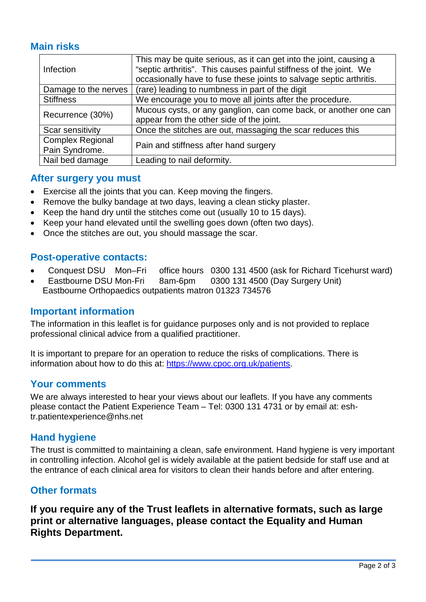#### **Main risks**

| <b>Infection</b>        | This may be quite serious, as it can get into the joint, causing a  |
|-------------------------|---------------------------------------------------------------------|
|                         | "septic arthritis". This causes painful stiffness of the joint. We  |
|                         | occasionally have to fuse these joints to salvage septic arthritis. |
| Damage to the nerves    | (rare) leading to numbness in part of the digit                     |
| <b>Stiffness</b>        | We encourage you to move all joints after the procedure.            |
| Recurrence (30%)        | Mucous cysts, or any ganglion, can come back, or another one can    |
|                         | appear from the other side of the joint.                            |
| Scar sensitivity        | Once the stitches are out, massaging the scar reduces this          |
| <b>Complex Regional</b> | Pain and stiffness after hand surgery                               |
| Pain Syndrome.          |                                                                     |
| Nail bed damage         | Leading to nail deformity.                                          |

#### **After surgery you must**

- Exercise all the joints that you can. Keep moving the fingers.
- Remove the bulky bandage at two days, leaving a clean sticky plaster.
- Keep the hand dry until the stitches come out (usually 10 to 15 days).
- Keep your hand elevated until the swelling goes down (often two days).
- Once the stitches are out, you should massage the scar.

#### **Post-operative contacts:**

- Conquest DSU Mon–Fri office hours 0300 131 4500 (ask for Richard Ticehurst ward)
- Eastbourne DSU Mon-Fri 8am-6pm 0300 131 4500 (Day Surgery Unit) Eastbourne Orthopaedics outpatients matron 01323 734576

#### **Important information**

The information in this leaflet is for guidance purposes only and is not provided to replace professional clinical advice from a qualified practitioner.

It is important to prepare for an operation to reduce the risks of complications. There is information about how to do this at: [https://www.cpoc.org.uk/patients.](https://www.cpoc.org.uk/patients)

#### **Your comments**

We are always interested to hear your views about our leaflets. If you have any comments please contact the Patient Experience Team – Tel: 0300 131 4731 or by email at: eshtr.patientexperience@nhs.net

#### **Hand hygiene**

The trust is committed to maintaining a clean, safe environment. Hand hygiene is very important in controlling infection. Alcohol gel is widely available at the patient bedside for staff use and at the entrance of each clinical area for visitors to clean their hands before and after entering.

#### **Other formats**

**If you require any of the Trust leaflets in alternative formats, such as large print or alternative languages, please contact the Equality and Human Rights Department.**